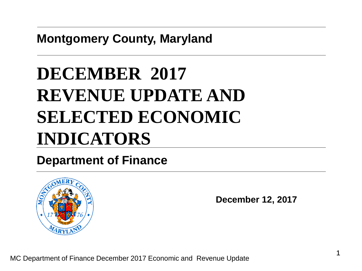**Montgomery County, Maryland**

# **DECEMBER 2017 REVENUE UPDATE AND SELECTED ECONOMIC INDICATORS**

#### **Department of Finance**



**December 12, 2017**

MC Department of Finance December 2017 Economic and Revenue Update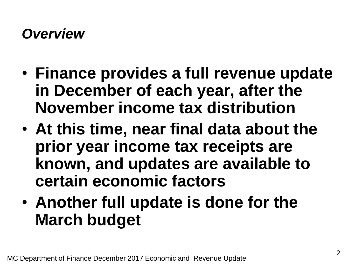#### *Overview*

- **Finance provides a full revenue update in December of each year, after the November income tax distribution**
- **At this time, near final data about the prior year income tax receipts are known, and updates are available to certain economic factors**
- **Another full update is done for the March budget**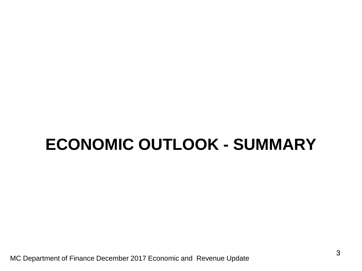# **ECONOMIC OUTLOOK - SUMMARY**

MC Department of Finance December 2017 Economic and Revenue Update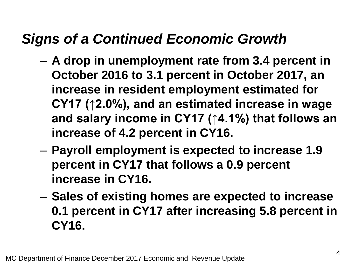### *Signs of a Continued Economic Growth*

- **A drop in unemployment rate from 3.4 percent in October 2016 to 3.1 percent in October 2017, an increase in resident employment estimated for CY17 (↑2.0%), and an estimated increase in wage and salary income in CY17 (↑4.1%) that follows an increase of 4.2 percent in CY16.**
- **Payroll employment is expected to increase 1.9 percent in CY17 that follows a 0.9 percent increase in CY16.**
- **Sales of existing homes are expected to increase 0.1 percent in CY17 after increasing 5.8 percent in CY16.**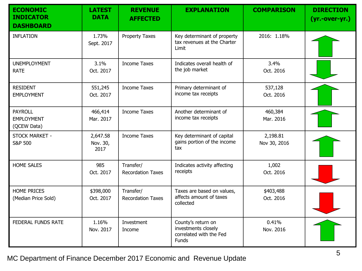| <b>ECONOMIC</b><br><b>INDICATOR</b><br><b>DASHBOARD</b> | <b>LATEST</b><br><b>DATA</b> | <b>REVENUE</b><br><b>AFFECTED</b>     | <b>EXPLANATION</b>                                                                   | <b>COMPARISON</b>        | <b>DIRECTION</b><br>(yr.-over-yr.) |
|---------------------------------------------------------|------------------------------|---------------------------------------|--------------------------------------------------------------------------------------|--------------------------|------------------------------------|
| <b>INFLATION</b>                                        | 1.73%<br>Sept. 2017          | <b>Property Taxes</b>                 | Key determinant of property<br>tax revenues at the Charter<br>Limit                  | 2016: 1.18%              |                                    |
| <b>UNEMPLOYMENT</b><br><b>RATE</b>                      | 3.1%<br>Oct. 2017            | <b>Income Taxes</b>                   | Indicates overall health of<br>the job market                                        | 3.4%<br>Oct. 2016        |                                    |
| <b>RESIDENT</b><br><b>EMPLOYMENT</b>                    | 551,245<br>Oct. 2017         | <b>Income Taxes</b>                   | Primary determinant of<br>income tax receipts                                        | 537,128<br>Oct. 2016     |                                    |
| <b>PAYROLL</b><br><b>EMPLOYMENT</b><br>(QCEW Data)      | 466,414<br>Mar. 2017         | <b>Income Taxes</b>                   | Another determinant of<br>income tax receipts                                        | 460,384<br>Mar. 2016     |                                    |
| STOCK MARKET -<br><b>S&amp;P 500</b>                    | 2,647.58<br>Nov. 30,<br>2017 | <b>Income Taxes</b>                   | Key determinant of capital<br>gains portion of the income<br>tax                     | 2,198.81<br>Nov 30, 2016 |                                    |
| <b>HOME SALES</b>                                       | 985<br>Oct. 2017             | Transfer/<br><b>Recordation Taxes</b> | Indicates activity affecting<br>receipts                                             | 1,002<br>Oct. 2016       |                                    |
| <b>HOME PRICES</b><br>(Median Price Sold)               | \$398,000<br>Oct. 2017       | Transfer/<br><b>Recordation Taxes</b> | Taxes are based on values,<br>affects amount of taxes<br>collected                   | \$403,488<br>Oct. 2016   |                                    |
| <b>FEDERAL FUNDS RATE</b>                               | 1.16%<br>Nov. 2017           | Investment<br>Income                  | County's return on<br>investments closely<br>correlated with the Fed<br><b>Funds</b> | 0.41%<br>Nov. 2016       |                                    |

MC Department of Finance December 2017 Economic and Revenue Update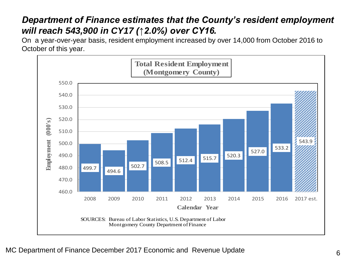#### *Department of Finance estimates that the County's resident employment will reach 543,900 in CY17 (↑2.0%) over CY16.*

On a year-over-year basis, resident employment increased by over 14,000 from October 2016 to October of this year.

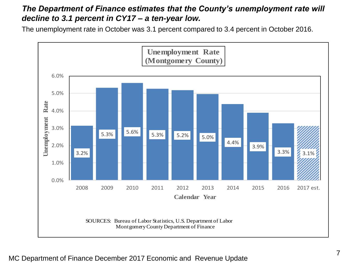#### *The Department of Finance estimates that the County's unemployment rate will decline to 3.1 percent in CY17 – a ten-year low.*

The unemployment rate in October was 3.1 percent compared to 3.4 percent in October 2016.

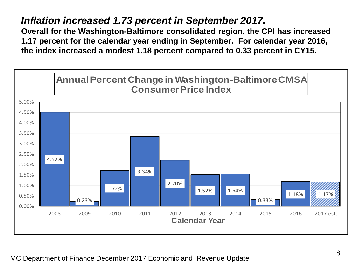#### *Inflation increased 1.73 percent in September 2017.*

**Overall for the Washington-Baltimore consolidated region, the CPI has increased 1.17 percent for the calendar year ending in September. For calendar year 2016, the index increased a modest 1.18 percent compared to 0.33 percent in CY15.**

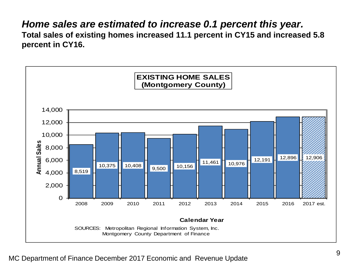#### *Home sales are estimated to increase 0.1 percent this year.*

**Total sales of existing homes increased 11.1 percent in CY15 and increased 5.8 percent in CY16.** 

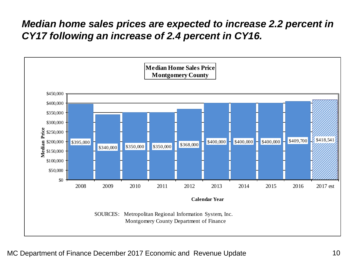#### *Median home sales prices are expected to increase 2.2 percent in CY17 following an increase of 2.4 percent in CY16.*

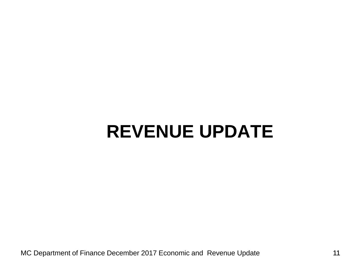# **REVENUE UPDATE**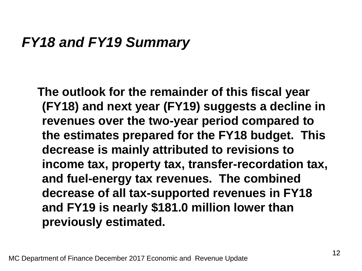#### *FY18 and FY19 Summary*

**The outlook for the remainder of this fiscal year (FY18) and next year (FY19) suggests a decline in revenues over the two-year period compared to the estimates prepared for the FY18 budget. This decrease is mainly attributed to revisions to income tax, property tax, transfer-recordation tax, and fuel-energy tax revenues. The combined decrease of all tax-supported revenues in FY18 and FY19 is nearly \$181.0 million lower than previously estimated.**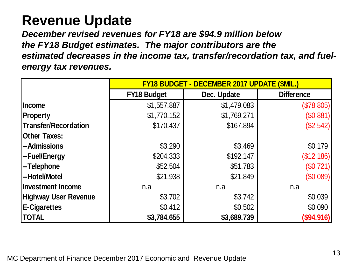### **Revenue Update**

*December revised revenues for FY18 are \$94.9 million below the FY18 Budget estimates. The major contributors are the estimated decreases in the income tax, transfer/recordation tax, and fuelenergy tax revenues.*

|                             | <b>FY18 BUDGET - DECEMBER 2017 UPDATE (\$MIL.)</b> |             |                   |  |  |
|-----------------------------|----------------------------------------------------|-------------|-------------------|--|--|
|                             | <b>FY18 Budget</b>                                 | Dec. Update | <b>Difference</b> |  |  |
| <b>Income</b>               | \$1,557.887                                        | \$1,479.083 | (\$78.805)        |  |  |
| <b>Property</b>             | \$1,770.152                                        | \$1,769.271 | (\$0.881)         |  |  |
| <b>Transfer/Recordation</b> | \$170.437                                          | \$167.894   | (\$2.542)         |  |  |
| <b>Other Taxes:</b>         |                                                    |             |                   |  |  |
| --Admissions                | \$3.290                                            | \$3.469     | \$0.179           |  |  |
| --Fuel/Energy               | \$204.333                                          | \$192.147   | (\$12.186)        |  |  |
| --Telephone                 | \$52.504                                           | \$51.783    | (\$0.721)         |  |  |
| --Hotel/Motel               | \$21.938                                           | \$21.849    | (\$0.089)         |  |  |
| <b>Investment Income</b>    | n.a                                                | n.a         | n.a               |  |  |
| <b>Highway User Revenue</b> | \$3.702                                            | \$3.742     | \$0.039           |  |  |
| <b>E-Cigarettes</b>         | \$0.412                                            | \$0.502     | \$0.090           |  |  |
| <b>TOTAL</b>                | \$3,784.655                                        | \$3,689.739 | (\$94.916)        |  |  |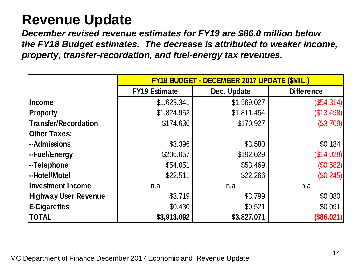## **Revenue Update**

*December revised revenue estimates for FY19 are \$86.0 million below the FY18 Budget estimates. The decrease is attributed to weaker income, property, transfer-recordation, and fuel-energy tax revenues.*

|                             | FY18 BUDGET - DECEMBER 2017 UPDATE (\$MIL.) |             |                   |  |  |
|-----------------------------|---------------------------------------------|-------------|-------------------|--|--|
|                             | <b>FY19 Estimate</b>                        | Dec. Update | <b>Difference</b> |  |  |
| <b>Income</b>               | \$1,623.341                                 | \$1,569.027 | $(\$54.314)$      |  |  |
| <b>Property</b>             | \$1,824.952                                 | \$1,811.454 | (\$13.498)        |  |  |
| Transfer/Recordation        | \$174.636                                   | \$170.927   | (\$3.709)         |  |  |
| <b>Other Taxes:</b>         |                                             |             |                   |  |  |
| -Admissions                 | \$3.396                                     | \$3.580     | \$0.184           |  |  |
| -Fuel/Energy                | \$206.057                                   | \$192.029   | (\$14.028)        |  |  |
| -Telephone <sup> </sup>     | \$54.051                                    | \$53.469    | (\$0.582)         |  |  |
| -Hotel/Motel                | \$22.511                                    | \$22.266    | (\$0.245)         |  |  |
| <b>Investment Income</b>    | n.a                                         | n.a         | n.a               |  |  |
| <b>Highway User Revenue</b> | \$3.719                                     | \$3.799     | \$0.080           |  |  |
| <b>E-Cigarettes</b>         | \$0.430                                     | \$0.521     | \$0.091           |  |  |
| <b>TOTAL</b>                | \$3,913.092                                 | \$3,827.071 | (\$86.021)        |  |  |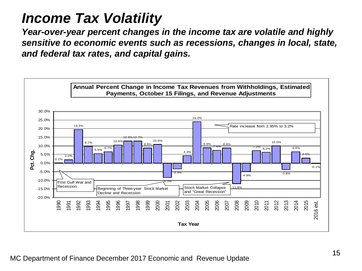### *Income Tax Volatility*

*Year-over-year percent changes in the income tax are volatile and highly sensitive to economic events such as recessions, changes in local, state, and federal tax rates, and capital gains.*

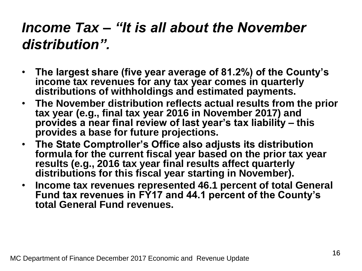# *Income Tax – "It is all about the November distribution".*

- **The largest share (five year average of 81.2%) of the County's income tax revenues for any tax year comes in quarterly distributions of withholdings and estimated payments.**
- **The November distribution reflects actual results from the prior tax year (e.g., final tax year 2016 in November 2017) and provides a near final review of last year's tax liability – this provides a base for future projections.**
- **The State Comptroller's Office also adjusts its distribution formula for the current fiscal year based on the prior tax year results (e.g., 2016 tax year final results affect quarterly distributions for this fiscal year starting in November).**
- **Income tax revenues represented 46.1 percent of total General Fund tax revenues in FY17 and 44.1 percent of the County's total General Fund revenues.**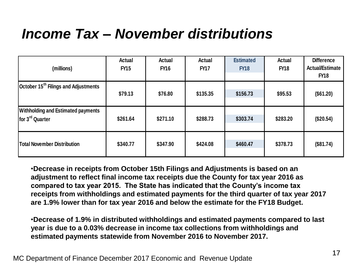## *Income Tax – November distributions*

| (millions)                                                                                                                                                                                                                                                                                                                                                                                                                                                                                                                                                                                                                                                                                 | <b>Actual</b><br><b>FY15</b> | Actual<br><b>FY16</b> | <b>Actual</b><br><b>FY17</b> | <b>Estimated</b><br><b>FY18</b> | <b>Actual</b><br><b>FY18</b> | <b>Difference</b><br><b>Actual/Estimate</b><br><b>FY18</b> |  |
|--------------------------------------------------------------------------------------------------------------------------------------------------------------------------------------------------------------------------------------------------------------------------------------------------------------------------------------------------------------------------------------------------------------------------------------------------------------------------------------------------------------------------------------------------------------------------------------------------------------------------------------------------------------------------------------------|------------------------------|-----------------------|------------------------------|---------------------------------|------------------------------|------------------------------------------------------------|--|
| October 15 <sup>th</sup> Filings and Adjustments                                                                                                                                                                                                                                                                                                                                                                                                                                                                                                                                                                                                                                           | \$79.13                      | \$76.80               | \$135.35                     | \$156.73                        | \$95.53                      | (\$61.20)                                                  |  |
| <b>Withholding and Estimated payments</b><br>for 3 <sup>rd</sup> Quarter                                                                                                                                                                                                                                                                                                                                                                                                                                                                                                                                                                                                                   | \$261.64                     | \$271.10              | \$288.73                     | \$303.74                        | \$283.20                     | (\$20.54)                                                  |  |
| <b>Total November Distribution</b>                                                                                                                                                                                                                                                                                                                                                                                                                                                                                                                                                                                                                                                         | \$340.77                     | \$347.90              | \$424.08                     | \$460.47                        | \$378.73                     | (\$81.74)                                                  |  |
| •Decrease in receipts from October 15th Filings and Adjustments is based on an<br>adjustment to reflect final income tax receipts due the County for tax year 2016 as<br>compared to tax year 2015. The State has indicated that the County's income tax<br>receipts from withholdings and estimated payments for the third quarter of tax year 2017<br>are 1.9% lower than for tax year 2016 and below the estimate for the FY18 Budget.<br>•Decrease of 1.9% in distributed withholdings and estimated payments compared to last<br>year is due to a 0.03% decrease in income tax collections from withholdings and<br>estimated payments statewide from November 2016 to November 2017. |                              |                       |                              |                                 |                              |                                                            |  |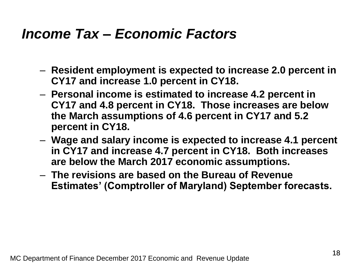#### *Income Tax – Economic Factors*

- **Resident employment is expected to increase 2.0 percent in CY17 and increase 1.0 percent in CY18.**
- **Personal income is estimated to increase 4.2 percent in CY17 and 4.8 percent in CY18. Those increases are below the March assumptions of 4.6 percent in CY17 and 5.2 percent in CY18.**
- **Wage and salary income is expected to increase 4.1 percent in CY17 and increase 4.7 percent in CY18. Both increases are below the March 2017 economic assumptions.**
- **The revisions are based on the Bureau of Revenue Estimates' (Comptroller of Maryland) September forecasts.**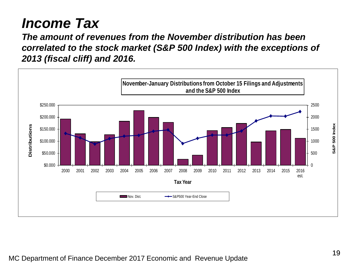## *Income Tax*

*The amount of revenues from the November distribution has been correlated to the stock market (S&P 500 Index) with the exceptions of 2013 (fiscal cliff) and 2016.* 

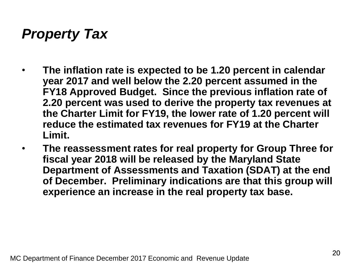## *Property Tax*

- **The inflation rate is expected to be 1.20 percent in calendar year 2017 and well below the 2.20 percent assumed in the FY18 Approved Budget. Since the previous inflation rate of 2.20 percent was used to derive the property tax revenues at the Charter Limit for FY19, the lower rate of 1.20 percent will reduce the estimated tax revenues for FY19 at the Charter Limit.**
- **The reassessment rates for real property for Group Three for fiscal year 2018 will be released by the Maryland State Department of Assessments and Taxation (SDAT) at the end of December. Preliminary indications are that this group will experience an increase in the real property tax base.**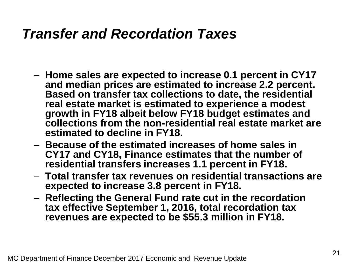#### *Transfer and Recordation Taxes*

- **Home sales are expected to increase 0.1 percent in CY17 and median prices are estimated to increase 2.2 percent. Based on transfer tax collections to date, the residential real estate market is estimated to experience a modest growth in FY18 albeit below FY18 budget estimates and collections from the non-residential real estate market are estimated to decline in FY18.**
- **Because of the estimated increases of home sales in CY17 and CY18, Finance estimates that the number of residential transfers increases 1.1 percent in FY18.**
- **Total transfer tax revenues on residential transactions are expected to increase 3.8 percent in FY18.**
- **Reflecting the General Fund rate cut in the recordation tax effective September 1, 2016, total recordation tax revenues are expected to be \$55.3 million in FY18.**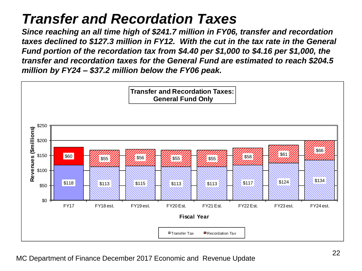## *Transfer and Recordation Taxes*

*Since reaching an all time high of \$241.7 million in FY06, transfer and recordation taxes declined to \$127.3 million in FY12. With the cut in the tax rate in the General Fund portion of the recordation tax from \$4.40 per \$1,000 to \$4.16 per \$1,000, the transfer and recordation taxes for the General Fund are estimated to reach \$204.5 million by FY24 – \$37.2 million below the FY06 peak.*

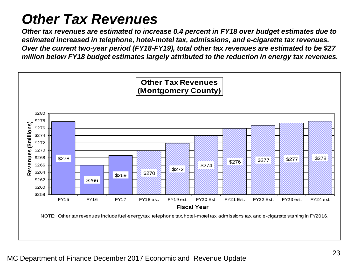# *Other Tax Revenues*

*Other tax revenues are estimated to increase 0.4 percent in FY18 over budget estimates due to estimated increased in telephone, hotel-motel tax, admissions, and e-cigarette tax revenues. Over the current two-year period (FY18-FY19), total other tax revenues are estimated to be \$27 million below FY18 budget estimates largely attributed to the reduction in energy tax revenues.*